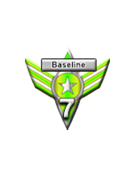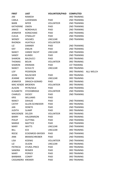| JIM<br>RAMESH<br><b>3RD TRAINING</b><br>CARLA<br>LUEDEMAN<br>PAID<br><b>2ND TRAINING</b><br><b>BARB</b><br><b>MYER</b><br><b>VOLUNTEER</b><br><b>2ND TRAINING</b><br><b>KATHERINE</b><br><b>OWEN</b><br><b>PAID</b><br><b>2ND TRAINING</b><br><b>JANICE</b><br><b>NORDHAUS</b><br><b>PAID</b><br><b>2ND TRAINING</b><br><b>KONSCHAKE</b><br><b>2ND TRAINING</b><br><b>JENNIFER</b><br>PAID<br>O'MALLEY<br><b>2ND TRAINING</b><br><b>CLELIA</b><br>PAID<br><b>WENDY</b><br><b>HOLMES</b><br><b>UNCLEAR</b><br><b>2ND TRAINING</b><br><b>VOLUNTEER</b><br><b>RHONDA</b><br><b>HUHTALA</b><br>LIZ<br><b>DANNER</b><br><b>PAID</b><br><b>2ND TRAINING</b><br><b>KAY</b><br><b>ENSLIN</b><br><b>2ND TRAINING</b><br>PAID<br><b>VANDE YACHT</b><br><b>2ND TRAINING</b><br><b>NANCY</b><br><b>UNCLEAR</b><br><b>KLIMEK</b><br><b>2ND TRAINING</b><br>SANDY<br>PAID<br><b>SHARON</b><br><b>BALDUCCI</b><br><b>PAID</b><br><b>3RD TRAINING</b><br><b>BOLIN</b><br><b>VOLUNTEER</b><br><b>3RD TRAINING</b><br><b>THOMAS</b><br><b>PAID</b><br><b>1ST TRAINING</b><br><b>SHARON</b><br><b>ERDMAN</b><br><b>3RD TRAINING</b><br><b>NANCY</b><br><b>SCHULTZ</b><br><b>UNCLEAR</b><br><b>3RD TRAINING</b><br><b>LEIF</b><br><b>PEDERSON</b><br><b>ALLI WELCH</b><br><b>3RD TRAINING</b><br><b>JOHN</b><br><b>RAUSCHER</b><br>PAID<br><b>WISKOW</b><br><b>UNCLEAR</b><br><b>3RD TRAINING</b><br><b>JEANNE</b><br><b>JENNIFER</b><br>DRASCH-GERARD<br><b>3RD TRAINING</b><br>PAID<br>MAC KENZIE BROEREN<br><b>VOLUNTEER</b><br><b>3RD TRAINING</b><br><b>ALISON</b><br>PETRI/SELK<br><b>2ND TRAINING</b><br><b>PAID</b><br><b>STOCKBRIDGE</b><br><b>VOLUNTEER</b><br>2ND TRAINING<br><b>ELISABETH</b><br><b>2ND TRAINING</b><br><b>CHARLES</b><br><b>DICKEY</b><br><b>PAID</b><br><b>KRIS</b><br><b>WILLIAMS</b><br><b>PAID</b><br><b>2ND TRAINING</b><br><b>NANCY</b><br><b>DAHLKE</b><br><b>PAID</b><br><b>CATHY</b><br>ALLEN-SCHNEIDER<br><b>PAID</b><br><b>3RD TRAINING</b><br><b>JAN</b><br><b>DENEYS</b><br><b>2ND TRAINING</b><br><b>PAID</b><br><b>SLAMP</b><br><b>3RD TRAINING</b><br>JUDITH<br>PAID<br>MACKENZIE DELZER<br><b>VOLUNTEER</b><br><b>3RD TRAINING</b><br><b>BARRY</b><br><b>HALGRIMSON</b><br><b>PAID</b><br><b>3RD TRAINING</b><br><b>GUTTING</b><br><b>2ND TRAINING</b><br><b>PHILIP</b><br>PAID<br><b>MATTICE</b><br><b>2ND TRAINING</b><br>MARGE<br><b>PAID</b><br><b>MARY</b><br><b>WATTS</b><br>UNCLEAR<br><b>2ND TRAINING</b><br><b>BILL</b><br><b>UNCLEAR</b><br><b>3RD TRAINING</b><br><b>ECK</b><br><b>REESE</b><br><b>2ND TRAINING</b><br>ECKENROD-SNYDER<br><b>PAID</b><br><b>ANN</b><br><b>BRAMSCHREIBER</b><br><b>PAID</b><br><b>2ND TRAINING</b><br><b>LISA</b><br><b>2ND TRAINING</b><br><b>KOENIG</b><br><b>VOLUNTEER</b><br><b>UNCLEAR</b><br><b>3RD TRAINING</b><br>LIZ<br><b>OLSON</b><br>STURZL-PRICE<br><b>3RD TRAINING</b><br><b>PATRICIA</b><br><b>PAID</b><br><b>SANDRA</b><br>REIMER<br><b>PAID</b><br><b>3RD TRAINING</b><br>MARY<br><b>POPKEY</b><br><b>PAID</b><br><b>3RD TRAINING</b><br><b>CONIFF</b><br><b>PAID</b><br><b>3RD TRAINING</b><br>BARBARA<br>CASSANDRA KREMER | <b>FIRST</b> | <b>LAST</b> | <b>VOLUNTEER/PAID</b> | <b>COMPLETED</b>    |  |
|------------------------------------------------------------------------------------------------------------------------------------------------------------------------------------------------------------------------------------------------------------------------------------------------------------------------------------------------------------------------------------------------------------------------------------------------------------------------------------------------------------------------------------------------------------------------------------------------------------------------------------------------------------------------------------------------------------------------------------------------------------------------------------------------------------------------------------------------------------------------------------------------------------------------------------------------------------------------------------------------------------------------------------------------------------------------------------------------------------------------------------------------------------------------------------------------------------------------------------------------------------------------------------------------------------------------------------------------------------------------------------------------------------------------------------------------------------------------------------------------------------------------------------------------------------------------------------------------------------------------------------------------------------------------------------------------------------------------------------------------------------------------------------------------------------------------------------------------------------------------------------------------------------------------------------------------------------------------------------------------------------------------------------------------------------------------------------------------------------------------------------------------------------------------------------------------------------------------------------------------------------------------------------------------------------------------------------------------------------------------------------------------------------------------------------------------------------------------------------------------------------------------------------------------------------------------------------------------------------------------------------------------------------------------------------------------------------------------------------------------------------------------------------------------------------------------------------------------------------------------------------------------------------------------------------------------------------------------------------------------------------------------------------------------------------------------------------------------------------------|--------------|-------------|-----------------------|---------------------|--|
|                                                                                                                                                                                                                                                                                                                                                                                                                                                                                                                                                                                                                                                                                                                                                                                                                                                                                                                                                                                                                                                                                                                                                                                                                                                                                                                                                                                                                                                                                                                                                                                                                                                                                                                                                                                                                                                                                                                                                                                                                                                                                                                                                                                                                                                                                                                                                                                                                                                                                                                                                                                                                                                                                                                                                                                                                                                                                                                                                                                                                                                                                                                  |              |             |                       |                     |  |
|                                                                                                                                                                                                                                                                                                                                                                                                                                                                                                                                                                                                                                                                                                                                                                                                                                                                                                                                                                                                                                                                                                                                                                                                                                                                                                                                                                                                                                                                                                                                                                                                                                                                                                                                                                                                                                                                                                                                                                                                                                                                                                                                                                                                                                                                                                                                                                                                                                                                                                                                                                                                                                                                                                                                                                                                                                                                                                                                                                                                                                                                                                                  |              |             |                       |                     |  |
|                                                                                                                                                                                                                                                                                                                                                                                                                                                                                                                                                                                                                                                                                                                                                                                                                                                                                                                                                                                                                                                                                                                                                                                                                                                                                                                                                                                                                                                                                                                                                                                                                                                                                                                                                                                                                                                                                                                                                                                                                                                                                                                                                                                                                                                                                                                                                                                                                                                                                                                                                                                                                                                                                                                                                                                                                                                                                                                                                                                                                                                                                                                  |              |             |                       |                     |  |
|                                                                                                                                                                                                                                                                                                                                                                                                                                                                                                                                                                                                                                                                                                                                                                                                                                                                                                                                                                                                                                                                                                                                                                                                                                                                                                                                                                                                                                                                                                                                                                                                                                                                                                                                                                                                                                                                                                                                                                                                                                                                                                                                                                                                                                                                                                                                                                                                                                                                                                                                                                                                                                                                                                                                                                                                                                                                                                                                                                                                                                                                                                                  |              |             |                       |                     |  |
|                                                                                                                                                                                                                                                                                                                                                                                                                                                                                                                                                                                                                                                                                                                                                                                                                                                                                                                                                                                                                                                                                                                                                                                                                                                                                                                                                                                                                                                                                                                                                                                                                                                                                                                                                                                                                                                                                                                                                                                                                                                                                                                                                                                                                                                                                                                                                                                                                                                                                                                                                                                                                                                                                                                                                                                                                                                                                                                                                                                                                                                                                                                  |              |             |                       |                     |  |
|                                                                                                                                                                                                                                                                                                                                                                                                                                                                                                                                                                                                                                                                                                                                                                                                                                                                                                                                                                                                                                                                                                                                                                                                                                                                                                                                                                                                                                                                                                                                                                                                                                                                                                                                                                                                                                                                                                                                                                                                                                                                                                                                                                                                                                                                                                                                                                                                                                                                                                                                                                                                                                                                                                                                                                                                                                                                                                                                                                                                                                                                                                                  |              |             |                       |                     |  |
|                                                                                                                                                                                                                                                                                                                                                                                                                                                                                                                                                                                                                                                                                                                                                                                                                                                                                                                                                                                                                                                                                                                                                                                                                                                                                                                                                                                                                                                                                                                                                                                                                                                                                                                                                                                                                                                                                                                                                                                                                                                                                                                                                                                                                                                                                                                                                                                                                                                                                                                                                                                                                                                                                                                                                                                                                                                                                                                                                                                                                                                                                                                  |              |             |                       |                     |  |
|                                                                                                                                                                                                                                                                                                                                                                                                                                                                                                                                                                                                                                                                                                                                                                                                                                                                                                                                                                                                                                                                                                                                                                                                                                                                                                                                                                                                                                                                                                                                                                                                                                                                                                                                                                                                                                                                                                                                                                                                                                                                                                                                                                                                                                                                                                                                                                                                                                                                                                                                                                                                                                                                                                                                                                                                                                                                                                                                                                                                                                                                                                                  |              |             |                       |                     |  |
|                                                                                                                                                                                                                                                                                                                                                                                                                                                                                                                                                                                                                                                                                                                                                                                                                                                                                                                                                                                                                                                                                                                                                                                                                                                                                                                                                                                                                                                                                                                                                                                                                                                                                                                                                                                                                                                                                                                                                                                                                                                                                                                                                                                                                                                                                                                                                                                                                                                                                                                                                                                                                                                                                                                                                                                                                                                                                                                                                                                                                                                                                                                  |              |             |                       |                     |  |
|                                                                                                                                                                                                                                                                                                                                                                                                                                                                                                                                                                                                                                                                                                                                                                                                                                                                                                                                                                                                                                                                                                                                                                                                                                                                                                                                                                                                                                                                                                                                                                                                                                                                                                                                                                                                                                                                                                                                                                                                                                                                                                                                                                                                                                                                                                                                                                                                                                                                                                                                                                                                                                                                                                                                                                                                                                                                                                                                                                                                                                                                                                                  |              |             |                       |                     |  |
|                                                                                                                                                                                                                                                                                                                                                                                                                                                                                                                                                                                                                                                                                                                                                                                                                                                                                                                                                                                                                                                                                                                                                                                                                                                                                                                                                                                                                                                                                                                                                                                                                                                                                                                                                                                                                                                                                                                                                                                                                                                                                                                                                                                                                                                                                                                                                                                                                                                                                                                                                                                                                                                                                                                                                                                                                                                                                                                                                                                                                                                                                                                  |              |             |                       |                     |  |
|                                                                                                                                                                                                                                                                                                                                                                                                                                                                                                                                                                                                                                                                                                                                                                                                                                                                                                                                                                                                                                                                                                                                                                                                                                                                                                                                                                                                                                                                                                                                                                                                                                                                                                                                                                                                                                                                                                                                                                                                                                                                                                                                                                                                                                                                                                                                                                                                                                                                                                                                                                                                                                                                                                                                                                                                                                                                                                                                                                                                                                                                                                                  |              |             |                       |                     |  |
|                                                                                                                                                                                                                                                                                                                                                                                                                                                                                                                                                                                                                                                                                                                                                                                                                                                                                                                                                                                                                                                                                                                                                                                                                                                                                                                                                                                                                                                                                                                                                                                                                                                                                                                                                                                                                                                                                                                                                                                                                                                                                                                                                                                                                                                                                                                                                                                                                                                                                                                                                                                                                                                                                                                                                                                                                                                                                                                                                                                                                                                                                                                  |              |             |                       |                     |  |
|                                                                                                                                                                                                                                                                                                                                                                                                                                                                                                                                                                                                                                                                                                                                                                                                                                                                                                                                                                                                                                                                                                                                                                                                                                                                                                                                                                                                                                                                                                                                                                                                                                                                                                                                                                                                                                                                                                                                                                                                                                                                                                                                                                                                                                                                                                                                                                                                                                                                                                                                                                                                                                                                                                                                                                                                                                                                                                                                                                                                                                                                                                                  |              |             |                       |                     |  |
|                                                                                                                                                                                                                                                                                                                                                                                                                                                                                                                                                                                                                                                                                                                                                                                                                                                                                                                                                                                                                                                                                                                                                                                                                                                                                                                                                                                                                                                                                                                                                                                                                                                                                                                                                                                                                                                                                                                                                                                                                                                                                                                                                                                                                                                                                                                                                                                                                                                                                                                                                                                                                                                                                                                                                                                                                                                                                                                                                                                                                                                                                                                  |              |             |                       |                     |  |
|                                                                                                                                                                                                                                                                                                                                                                                                                                                                                                                                                                                                                                                                                                                                                                                                                                                                                                                                                                                                                                                                                                                                                                                                                                                                                                                                                                                                                                                                                                                                                                                                                                                                                                                                                                                                                                                                                                                                                                                                                                                                                                                                                                                                                                                                                                                                                                                                                                                                                                                                                                                                                                                                                                                                                                                                                                                                                                                                                                                                                                                                                                                  |              |             |                       |                     |  |
|                                                                                                                                                                                                                                                                                                                                                                                                                                                                                                                                                                                                                                                                                                                                                                                                                                                                                                                                                                                                                                                                                                                                                                                                                                                                                                                                                                                                                                                                                                                                                                                                                                                                                                                                                                                                                                                                                                                                                                                                                                                                                                                                                                                                                                                                                                                                                                                                                                                                                                                                                                                                                                                                                                                                                                                                                                                                                                                                                                                                                                                                                                                  |              |             |                       |                     |  |
|                                                                                                                                                                                                                                                                                                                                                                                                                                                                                                                                                                                                                                                                                                                                                                                                                                                                                                                                                                                                                                                                                                                                                                                                                                                                                                                                                                                                                                                                                                                                                                                                                                                                                                                                                                                                                                                                                                                                                                                                                                                                                                                                                                                                                                                                                                                                                                                                                                                                                                                                                                                                                                                                                                                                                                                                                                                                                                                                                                                                                                                                                                                  |              |             |                       |                     |  |
|                                                                                                                                                                                                                                                                                                                                                                                                                                                                                                                                                                                                                                                                                                                                                                                                                                                                                                                                                                                                                                                                                                                                                                                                                                                                                                                                                                                                                                                                                                                                                                                                                                                                                                                                                                                                                                                                                                                                                                                                                                                                                                                                                                                                                                                                                                                                                                                                                                                                                                                                                                                                                                                                                                                                                                                                                                                                                                                                                                                                                                                                                                                  |              |             |                       |                     |  |
|                                                                                                                                                                                                                                                                                                                                                                                                                                                                                                                                                                                                                                                                                                                                                                                                                                                                                                                                                                                                                                                                                                                                                                                                                                                                                                                                                                                                                                                                                                                                                                                                                                                                                                                                                                                                                                                                                                                                                                                                                                                                                                                                                                                                                                                                                                                                                                                                                                                                                                                                                                                                                                                                                                                                                                                                                                                                                                                                                                                                                                                                                                                  |              |             |                       |                     |  |
|                                                                                                                                                                                                                                                                                                                                                                                                                                                                                                                                                                                                                                                                                                                                                                                                                                                                                                                                                                                                                                                                                                                                                                                                                                                                                                                                                                                                                                                                                                                                                                                                                                                                                                                                                                                                                                                                                                                                                                                                                                                                                                                                                                                                                                                                                                                                                                                                                                                                                                                                                                                                                                                                                                                                                                                                                                                                                                                                                                                                                                                                                                                  |              |             |                       |                     |  |
|                                                                                                                                                                                                                                                                                                                                                                                                                                                                                                                                                                                                                                                                                                                                                                                                                                                                                                                                                                                                                                                                                                                                                                                                                                                                                                                                                                                                                                                                                                                                                                                                                                                                                                                                                                                                                                                                                                                                                                                                                                                                                                                                                                                                                                                                                                                                                                                                                                                                                                                                                                                                                                                                                                                                                                                                                                                                                                                                                                                                                                                                                                                  |              |             |                       |                     |  |
|                                                                                                                                                                                                                                                                                                                                                                                                                                                                                                                                                                                                                                                                                                                                                                                                                                                                                                                                                                                                                                                                                                                                                                                                                                                                                                                                                                                                                                                                                                                                                                                                                                                                                                                                                                                                                                                                                                                                                                                                                                                                                                                                                                                                                                                                                                                                                                                                                                                                                                                                                                                                                                                                                                                                                                                                                                                                                                                                                                                                                                                                                                                  |              |             |                       |                     |  |
|                                                                                                                                                                                                                                                                                                                                                                                                                                                                                                                                                                                                                                                                                                                                                                                                                                                                                                                                                                                                                                                                                                                                                                                                                                                                                                                                                                                                                                                                                                                                                                                                                                                                                                                                                                                                                                                                                                                                                                                                                                                                                                                                                                                                                                                                                                                                                                                                                                                                                                                                                                                                                                                                                                                                                                                                                                                                                                                                                                                                                                                                                                                  |              |             |                       |                     |  |
|                                                                                                                                                                                                                                                                                                                                                                                                                                                                                                                                                                                                                                                                                                                                                                                                                                                                                                                                                                                                                                                                                                                                                                                                                                                                                                                                                                                                                                                                                                                                                                                                                                                                                                                                                                                                                                                                                                                                                                                                                                                                                                                                                                                                                                                                                                                                                                                                                                                                                                                                                                                                                                                                                                                                                                                                                                                                                                                                                                                                                                                                                                                  |              |             |                       |                     |  |
|                                                                                                                                                                                                                                                                                                                                                                                                                                                                                                                                                                                                                                                                                                                                                                                                                                                                                                                                                                                                                                                                                                                                                                                                                                                                                                                                                                                                                                                                                                                                                                                                                                                                                                                                                                                                                                                                                                                                                                                                                                                                                                                                                                                                                                                                                                                                                                                                                                                                                                                                                                                                                                                                                                                                                                                                                                                                                                                                                                                                                                                                                                                  |              |             |                       |                     |  |
|                                                                                                                                                                                                                                                                                                                                                                                                                                                                                                                                                                                                                                                                                                                                                                                                                                                                                                                                                                                                                                                                                                                                                                                                                                                                                                                                                                                                                                                                                                                                                                                                                                                                                                                                                                                                                                                                                                                                                                                                                                                                                                                                                                                                                                                                                                                                                                                                                                                                                                                                                                                                                                                                                                                                                                                                                                                                                                                                                                                                                                                                                                                  |              |             |                       |                     |  |
|                                                                                                                                                                                                                                                                                                                                                                                                                                                                                                                                                                                                                                                                                                                                                                                                                                                                                                                                                                                                                                                                                                                                                                                                                                                                                                                                                                                                                                                                                                                                                                                                                                                                                                                                                                                                                                                                                                                                                                                                                                                                                                                                                                                                                                                                                                                                                                                                                                                                                                                                                                                                                                                                                                                                                                                                                                                                                                                                                                                                                                                                                                                  |              |             |                       |                     |  |
|                                                                                                                                                                                                                                                                                                                                                                                                                                                                                                                                                                                                                                                                                                                                                                                                                                                                                                                                                                                                                                                                                                                                                                                                                                                                                                                                                                                                                                                                                                                                                                                                                                                                                                                                                                                                                                                                                                                                                                                                                                                                                                                                                                                                                                                                                                                                                                                                                                                                                                                                                                                                                                                                                                                                                                                                                                                                                                                                                                                                                                                                                                                  |              |             |                       |                     |  |
|                                                                                                                                                                                                                                                                                                                                                                                                                                                                                                                                                                                                                                                                                                                                                                                                                                                                                                                                                                                                                                                                                                                                                                                                                                                                                                                                                                                                                                                                                                                                                                                                                                                                                                                                                                                                                                                                                                                                                                                                                                                                                                                                                                                                                                                                                                                                                                                                                                                                                                                                                                                                                                                                                                                                                                                                                                                                                                                                                                                                                                                                                                                  |              |             |                       |                     |  |
|                                                                                                                                                                                                                                                                                                                                                                                                                                                                                                                                                                                                                                                                                                                                                                                                                                                                                                                                                                                                                                                                                                                                                                                                                                                                                                                                                                                                                                                                                                                                                                                                                                                                                                                                                                                                                                                                                                                                                                                                                                                                                                                                                                                                                                                                                                                                                                                                                                                                                                                                                                                                                                                                                                                                                                                                                                                                                                                                                                                                                                                                                                                  |              |             |                       |                     |  |
|                                                                                                                                                                                                                                                                                                                                                                                                                                                                                                                                                                                                                                                                                                                                                                                                                                                                                                                                                                                                                                                                                                                                                                                                                                                                                                                                                                                                                                                                                                                                                                                                                                                                                                                                                                                                                                                                                                                                                                                                                                                                                                                                                                                                                                                                                                                                                                                                                                                                                                                                                                                                                                                                                                                                                                                                                                                                                                                                                                                                                                                                                                                  |              |             |                       |                     |  |
|                                                                                                                                                                                                                                                                                                                                                                                                                                                                                                                                                                                                                                                                                                                                                                                                                                                                                                                                                                                                                                                                                                                                                                                                                                                                                                                                                                                                                                                                                                                                                                                                                                                                                                                                                                                                                                                                                                                                                                                                                                                                                                                                                                                                                                                                                                                                                                                                                                                                                                                                                                                                                                                                                                                                                                                                                                                                                                                                                                                                                                                                                                                  |              |             |                       |                     |  |
|                                                                                                                                                                                                                                                                                                                                                                                                                                                                                                                                                                                                                                                                                                                                                                                                                                                                                                                                                                                                                                                                                                                                                                                                                                                                                                                                                                                                                                                                                                                                                                                                                                                                                                                                                                                                                                                                                                                                                                                                                                                                                                                                                                                                                                                                                                                                                                                                                                                                                                                                                                                                                                                                                                                                                                                                                                                                                                                                                                                                                                                                                                                  |              |             |                       |                     |  |
|                                                                                                                                                                                                                                                                                                                                                                                                                                                                                                                                                                                                                                                                                                                                                                                                                                                                                                                                                                                                                                                                                                                                                                                                                                                                                                                                                                                                                                                                                                                                                                                                                                                                                                                                                                                                                                                                                                                                                                                                                                                                                                                                                                                                                                                                                                                                                                                                                                                                                                                                                                                                                                                                                                                                                                                                                                                                                                                                                                                                                                                                                                                  |              |             |                       |                     |  |
|                                                                                                                                                                                                                                                                                                                                                                                                                                                                                                                                                                                                                                                                                                                                                                                                                                                                                                                                                                                                                                                                                                                                                                                                                                                                                                                                                                                                                                                                                                                                                                                                                                                                                                                                                                                                                                                                                                                                                                                                                                                                                                                                                                                                                                                                                                                                                                                                                                                                                                                                                                                                                                                                                                                                                                                                                                                                                                                                                                                                                                                                                                                  |              |             |                       |                     |  |
|                                                                                                                                                                                                                                                                                                                                                                                                                                                                                                                                                                                                                                                                                                                                                                                                                                                                                                                                                                                                                                                                                                                                                                                                                                                                                                                                                                                                                                                                                                                                                                                                                                                                                                                                                                                                                                                                                                                                                                                                                                                                                                                                                                                                                                                                                                                                                                                                                                                                                                                                                                                                                                                                                                                                                                                                                                                                                                                                                                                                                                                                                                                  |              |             |                       |                     |  |
|                                                                                                                                                                                                                                                                                                                                                                                                                                                                                                                                                                                                                                                                                                                                                                                                                                                                                                                                                                                                                                                                                                                                                                                                                                                                                                                                                                                                                                                                                                                                                                                                                                                                                                                                                                                                                                                                                                                                                                                                                                                                                                                                                                                                                                                                                                                                                                                                                                                                                                                                                                                                                                                                                                                                                                                                                                                                                                                                                                                                                                                                                                                  |              |             |                       |                     |  |
|                                                                                                                                                                                                                                                                                                                                                                                                                                                                                                                                                                                                                                                                                                                                                                                                                                                                                                                                                                                                                                                                                                                                                                                                                                                                                                                                                                                                                                                                                                                                                                                                                                                                                                                                                                                                                                                                                                                                                                                                                                                                                                                                                                                                                                                                                                                                                                                                                                                                                                                                                                                                                                                                                                                                                                                                                                                                                                                                                                                                                                                                                                                  |              |             |                       |                     |  |
|                                                                                                                                                                                                                                                                                                                                                                                                                                                                                                                                                                                                                                                                                                                                                                                                                                                                                                                                                                                                                                                                                                                                                                                                                                                                                                                                                                                                                                                                                                                                                                                                                                                                                                                                                                                                                                                                                                                                                                                                                                                                                                                                                                                                                                                                                                                                                                                                                                                                                                                                                                                                                                                                                                                                                                                                                                                                                                                                                                                                                                                                                                                  |              |             |                       |                     |  |
|                                                                                                                                                                                                                                                                                                                                                                                                                                                                                                                                                                                                                                                                                                                                                                                                                                                                                                                                                                                                                                                                                                                                                                                                                                                                                                                                                                                                                                                                                                                                                                                                                                                                                                                                                                                                                                                                                                                                                                                                                                                                                                                                                                                                                                                                                                                                                                                                                                                                                                                                                                                                                                                                                                                                                                                                                                                                                                                                                                                                                                                                                                                  |              |             |                       |                     |  |
|                                                                                                                                                                                                                                                                                                                                                                                                                                                                                                                                                                                                                                                                                                                                                                                                                                                                                                                                                                                                                                                                                                                                                                                                                                                                                                                                                                                                                                                                                                                                                                                                                                                                                                                                                                                                                                                                                                                                                                                                                                                                                                                                                                                                                                                                                                                                                                                                                                                                                                                                                                                                                                                                                                                                                                                                                                                                                                                                                                                                                                                                                                                  |              |             |                       |                     |  |
|                                                                                                                                                                                                                                                                                                                                                                                                                                                                                                                                                                                                                                                                                                                                                                                                                                                                                                                                                                                                                                                                                                                                                                                                                                                                                                                                                                                                                                                                                                                                                                                                                                                                                                                                                                                                                                                                                                                                                                                                                                                                                                                                                                                                                                                                                                                                                                                                                                                                                                                                                                                                                                                                                                                                                                                                                                                                                                                                                                                                                                                                                                                  |              |             |                       |                     |  |
|                                                                                                                                                                                                                                                                                                                                                                                                                                                                                                                                                                                                                                                                                                                                                                                                                                                                                                                                                                                                                                                                                                                                                                                                                                                                                                                                                                                                                                                                                                                                                                                                                                                                                                                                                                                                                                                                                                                                                                                                                                                                                                                                                                                                                                                                                                                                                                                                                                                                                                                                                                                                                                                                                                                                                                                                                                                                                                                                                                                                                                                                                                                  |              |             |                       |                     |  |
|                                                                                                                                                                                                                                                                                                                                                                                                                                                                                                                                                                                                                                                                                                                                                                                                                                                                                                                                                                                                                                                                                                                                                                                                                                                                                                                                                                                                                                                                                                                                                                                                                                                                                                                                                                                                                                                                                                                                                                                                                                                                                                                                                                                                                                                                                                                                                                                                                                                                                                                                                                                                                                                                                                                                                                                                                                                                                                                                                                                                                                                                                                                  |              |             | PAID                  | <b>3RD TRAINING</b> |  |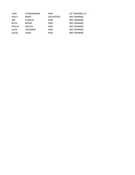| LORY           | <b>STONEBURNER</b> | <b>PAID</b>      | 1ST TRAINING (?)    |
|----------------|--------------------|------------------|---------------------|
| <b>HOLLY</b>   | <b>PRAST</b>       | <b>VOLUNTEER</b> | <b>3RD TRAINING</b> |
| JIM            | <b>COAKLEY</b>     | <b>PAID</b>      | <b>3RD TRAINING</b> |
| <b>RUTH</b>    | <b>MYERS</b>       | <b>PAID</b>      | <b>3RD TRAINING</b> |
| <b>PHILLIP</b> | <b>WOJCIK</b>      | <b>PAID</b>      | <b>3RD TRAINING</b> |
| JULIA          | <b>TACKMIER</b>    | <b>PAID</b>      | <b>3RD TRAINING</b> |
| <b>ALICIA</b>  | <b>SOREL</b>       | <b>PAID</b>      | <b>3RD TRAINING</b> |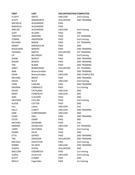| <b>FIRST</b>     | <b>LAST</b>        | <b>VOLUNTEER/PAID COMPLETED</b> |                      |
|------------------|--------------------|---------------------------------|----------------------|
| <b>FLUFFY</b>    | <b>AERTS</b>       | <b>UNCLEAR</b>                  | 2nd training         |
| <b>SCOTT</b>     | <b>AINSWORTH</b>   | <b>VOLUNTEER</b>                | <b>2ND TRAINING</b>  |
| <b>MICHELLE</b>  | ALEXANDER          | PAID                            |                      |
| MAKAYLA          | ALEXANDER          | <b>PAID</b>                     |                      |
| <b>ANELISE</b>   | <b>ALEXANDER</b>   | <b>UNCLEAR</b>                  | 2nd training         |
| <b>JUDY</b>      | ALLARD             | <b>PAID</b>                     | 2ND                  |
| <b>TIMOTHY</b>   | <b>AMERINE</b>     | <b>PAID</b>                     | <b>1ST TRAINING</b>  |
| <b>CONNIE</b>    | ANDERSON           | PAID                            | 2nd training         |
| RICHARD          | <b>BAKEN</b>       | <b>PAID</b>                     | <b>1ST TRAINING</b>  |
| <b>RANDY</b>     | <b>BARDOUCHE</b>   | <b>PAID</b>                     | 2ND                  |
| <b>ROSALINDE</b> | <b>BARKER</b>      | PAID                            | <b>2ND TRAINING</b>  |
| <b>THOMAS</b>    | <b>BARTEL</b>      | <b>VOLUNTEER</b>                | <b>1ST TRAINING</b>  |
| LIZ              | <b>BELONGIA</b>    | <b>PAID</b>                     | 2nd training         |
| <b>DIANE</b>     | <b>BENOIT</b>      | <b>PAID</b>                     | <b>2ND TRAINING</b>  |
| <b>ROGER</b>     | <b>BENOIT</b>      | PAID                            | <b>2ND TRAINING</b>  |
| <b>TIM</b>       | <b>BLANK</b>       | <b>PAID</b>                     | <b>2ND TRAINING</b>  |
| <b>JANET</b>     | <b>BONKOWSKI</b>   | <b>VOLUNTEER</b>                | <b>1ST TRAINING</b>  |
| <b>ANN</b>       | Bramschreiber      | <b>PAID</b>                     | 2ND TRAINING         |
| <b>DFAN</b>      | Bramschreiber      | <b>UNCLEAR</b>                  | <b>2ND COMPLETED</b> |
| <b>MICHAEL</b>   | <b>BROST</b>       | <b>PAID</b>                     | <b>2ND TRAINING</b>  |
| <b>DAVID</b>     | <b>BUCK</b>        | <b>UNCLEAR</b>                  | 2nd training         |
| <b>CORY</b>      | <b>CARLINE</b>     | PAID                            | <b>2ND TRAINING</b>  |
| <b>DAIJANA</b>   | CARRASCO           | <b>PAID</b>                     | 1st training         |
| <b>DAVID</b>     | CATALANO           | <b>UNCLEAR</b>                  | 2ND                  |
| <b>MARY</b>      | <b>CENEFELDT</b>   | <b>UNCLEAR</b>                  | 3RD                  |
| <b>KARI</b>      | <b>CLAUSEN</b>     | <b>PAID</b>                     | 2ND                  |
| <b>HEATHER</b>   | <b>COLLINS</b>     | PAID                            | 2nd training         |
| <b>ALISSA</b>    | <b>COTTER</b>      | PAID                            | 2ND                  |
| tina             | cotter             | <b>UNCLEAR</b>                  | 2nd                  |
| SALLY            | <b>CUBITT</b>      | <b>UNCLEAR</b>                  | <b>2ND TRAINING</b>  |
| <b>JANE</b>      | <b>CURROKINARD</b> | <b>UNCLEAR</b>                  | 2ND                  |
| <b>CHAD</b>      | <b>DALL</b>        | PAID                            | 2ND TRAINING         |
| <b>STEVE</b>     | <b>DAMP</b>        | PAID                            | 3RD                  |
| <b>MICHAEL</b>   | DEGRAND            | PAID                            | 2 <sub>nd</sub>      |
| <b>MARINA</b>    | <b>DELBECHHI</b>   | <b>UNCLEAR</b>                  | <b>1ST TRAINING</b>  |
| LARRY            | <b>DELFORGE</b>    | <b>PAID</b>                     | 2nd training         |
| <b>DEBRA</b>     | <b>DELIE</b>       | <b>PAID</b>                     | 2ND                  |
| <b>ETTA</b>      | <b>DEPREY</b>      | PAID                            | <b>2ND TRAINING</b>  |
| TIM              | <b>DEROZIER</b>    | <b>VOLUNTEER</b>                | <b>2ND TRAINING</b>  |
| <b>MICHELE</b>   | <b>DOXTATOR</b>    | <b>PAID</b>                     | 2nd training         |
| <b>DEBBIE</b>    | DU BOIS            | <b>UNCLEAR</b>                  | 2ND TRAINING         |
| <b>JOSEPH</b>    | <b>DUFEK</b>       | <b>VOLUNTEER</b>                | 2ND                  |
| <b>MALLORY</b>   | <b>EISENREICH</b>  | <b>PAID</b>                     | 1st training         |
| malllry          | eissenrich         | <b>UNCLEAR</b>                  | 2nd training         |
| <b>SCOTT</b>     | <b>ELSNER</b>      | PAID                            | 2ND                  |
| <b>MOLLY</b>     | Evgenides          | PAID                            | 1st training         |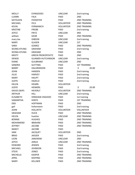| <b>MOLLY</b>     | <b>EVINGEIDES</b>        | <b>UNCLEAR</b>   | 2nd training        |
|------------------|--------------------------|------------------|---------------------|
| LUANN            | <b>FALK</b>              | PAID             | 2ND                 |
| <b>KATHLEEN</b>  | <b>FEEMSTER</b>          | <b>PAID</b>      | <b>2ND TRAINING</b> |
| <b>MICHAEL</b>   | <b>FELS</b>              | <b>VOLUNTEER</b> | <b>2ND TRAINING</b> |
| <b>KEVIN</b>     | <b>FERMANICH</b>         | <b>VOLUNTEER</b> | <b>2ND TRAINING</b> |
| <b>KRISTINE</b>  | <b>FRIEBE</b>            | <b>PAID</b>      | 2nd training        |
| <b>JOYCE</b>     | <b>FRITZ</b>             | <b>UNCLEAR</b>   | 3RD                 |
| william          | GEAR                     | <b>PAID</b>      | <b>2ND TRAINING</b> |
| mary lee         | <b>GIBSON</b>            | <b>UNCLEAR</b>   | 2nd training        |
| <b>MARY</b>      | <b>GLASER</b>            | <b>UNCLEAR</b>   | 1ST                 |
| SARA             | <b>GOMEZ</b>             | PAID             | <b>2ND TRAINING</b> |
| SEONG-KYUNG      | <b>GRAHAM</b>            | PAID             | 2nd training        |
| SEONG-KYUNG      | <b>GRAHAM</b>            | PAID             | 2ND                 |
| <b>KRISTY</b>    | <b>GREEN PROKOPOVITZ</b> | PAID             | 2ND                 |
| <b>DENISE</b>    | <b>GUAMER-HUTCHINSON</b> | <b>UNCLEAR</b>   | 2nd training        |
| <b>DIANE</b>     | <b>GULBRAND</b>          | <b>UNCLEAR</b>   | 2ND                 |
| SANDRA           | <b>GUTTING</b>           | PAID             | <b>1ST TRAINING</b> |
| <b>BARRY</b>     | <b>HALGRIMSON</b>        | PAID             | \$<br>20.00         |
| <b>JOHN</b>      | <b>HANSEN</b>            | PAID             | 2nd training        |
| JULIE            | <b>HARVEY</b>            | PAID             | 2nd training        |
| <b>MARY</b>      | <b>HAUPT</b>             | PAID             | 2nd training        |
| <b>JUDYE</b>     | <b>HAZELO</b>            | PAID             | 2nd training        |
| <b>HELEN</b>     | <b>HEARN</b>             | <b>VOLUNTEER</b> |                     |
| <b>JUDYE</b>     | <b>HEIMERL</b>           | PAID             | \$<br>20.00         |
| DAVID (SKIP)     | <b>HEVERLY</b>           | <b>VOLUNTEER</b> | <b>2ND TRAINING</b> |
| <b>ARTHUR</b>    | <b>HILL</b>              | <b>UNCLEAR</b>   | 2nd training        |
| <b>ELISABETH</b> | HINSHAW-OSGOOD           | PAID             | 1st training        |
| <b>SAMANTHA</b>  | <b>HOEFS</b>             | PAID             | <b>1ST TRAINING</b> |
| DEB              | <b>HOFFMAN</b>           | PAID             | 2ND                 |
| gail             | hohenstein               | PAID             | 2nd training        |
| <b>JOHN</b>      | <b>HOLLRITH</b>          | <b>VOLUNTEER</b> | <b>VOLUNTEER</b>    |
| <b>GRAHAM</b>    | <b>HUCK</b>              | PAID             | <b>2ND TRAINING</b> |
| HELEN            | huetter                  | <b>UNCLEAR</b>   | <b>2ND TRAINING</b> |
| <b>BONNIE</b>    | <b>HUGHES</b>            | <b>PAID</b>      | <b>2ND TRAINING</b> |
| MOHAMEND         | <b>IBRAHIM</b>           | PAID             | 2ND TRAINING        |
| <b>JEFFREY</b>   | <b>JACOBE</b>            | PAID             | 2ND TRAINING        |
| <b>NANCY</b>     | <b>JACOBE</b>            | <b>PAID</b>      |                     |
| SAM              | <b>JACQUET</b>           | <b>VOLUNTEER</b> | 2ND                 |
| <b>BRAD</b>      | <b>JAEGER</b>            | PAID             | 2nd training        |
| <b>LEON</b>      | <b>JANOWSKI</b>          | <b>UNCLEAR</b>   | 2ND                 |
| <b>JOYCE</b>     | JANUS                    | <b>UNCLEAR</b>   | <b>2ND TRAINING</b> |
| EDWARD           | JENSEN                   | <b>PAID</b>      | 2nd training        |
| <b>MICHAEL</b>   | <b>JOHNSON</b>           | PAID             | 2nd training        |
| <b>STEVE</b>     | JONES                    | PAID             | 2nd training        |
| <b>MICHELLE</b>  | <b>KASPER</b>            | PAID             | <b>2ND TRAINING</b> |
| APRIL            | <b>KEEPING</b>           | PAID             | 2ND TRAINING        |
| <b>MARY</b>      | <b>KELLNER</b>           | PAID             | <b>2ND TRAINING</b> |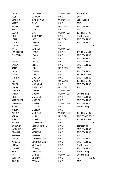| <b>DANA</b>      | <b>KENNEDY</b>    | <b>VOLUNTEER</b> | 1st training         |
|------------------|-------------------|------------------|----------------------|
| <b>JOEL</b>      | <b>KIERNAN</b>    | <b>PAID</b>      | 2nd                  |
| <b>MARCUS</b>    | <b>KLARKOWSKI</b> | <b>VOLUNTEER</b> | <b>VOLUNTEER</b>     |
| <b>MARY</b>      | <b>KLINE</b>      | PAID             | 2ND                  |
| <b>VANYA</b>     | <b>KOEPKE</b>     | <b>UNCLEAR</b>   | <b>2ND TRAINING</b>  |
| <b>BRETT</b>     | <b>KOHOUT</b>     | <b>PAID</b>      | 2ND                  |
| <b>SCOTT</b>     | <b>KRAFT</b>      | <b>VOLUNTEER</b> | <b>1ST TRAINING</b>  |
| <b>NICK</b>      | <b>KRZEWINA</b>   | <b>PAID</b>      | 2nd training         |
| <b>LEANN</b>     | LAES              | <b>UNCLEAR</b>   | <b>2ND TRAINING</b>  |
| <b>CARRIE</b>    | LAPLANT           | PAID             | <b>2ND TRAINING</b>  |
| <b>SUSAN</b>     | LEANNA            | <b>PAID</b>      | \$<br>20.00          |
| <b>KATE</b>      | LEMIEUX           | <b>VOLUNTEER</b> |                      |
| <b>JONATHON</b>  | LEROY             | <b>PAID</b>      | <b>1ST TRAINING</b>  |
| <b>TIMOTHY</b>   | LEWIS             | <b>PAID</b>      | <b>2ND TRAINING</b>  |
| <b>TOM</b>       | LEY               | <b>PAID</b>      | <b>2ND TRAINING</b>  |
| <b>CARA</b>      | LIESSE            | <b>PAID</b>      | <b>2ND TRAINING</b>  |
| CARLA            | LIESSE            | <b>PAID</b>      | <b>2ND TRAINING</b>  |
| SALLY            | <b>LODL</b>       | <b>UNCLEAR</b>   | 2ND                  |
| <b>JANAL</b>     | <b>LOGAN</b>      | <b>PAID</b>      | <b>2ND TRAINING</b>  |
| LAURA            | <b>LOWRY</b>      | <b>PAID</b>      | <b>1ST TRAINING</b>  |
| <b>SHERRY</b>    | <b>MADSEN</b>     | <b>PAID</b>      | <b>2ND TRAINING</b>  |
| <b>JOE</b>       | <b>MALTBY</b>     | <b>UNCLEAR</b>   | <b>1ST TRAINING</b>  |
| CAROL            | <b>MANNING</b>    | <b>PAID</b>      | <b>2ND TRAINING</b>  |
| <b>DOUG</b>      | <b>MARQUART</b>   | <b>UNCLEAR</b>   | 2ND                  |
| SANDRA           | <b>MASON</b>      | <b>VOLUNTEER</b> |                      |
| <b>SANDY</b>     | <b>MASON</b>      | <b>VOLUNTEER</b> | 2nd training         |
| <b>NICK</b>      | Matcheck          | <b>PAID</b>      | <b>2ND TRAINING</b>  |
| <b>MARGARET</b>  | <b>MATTICE</b>    | <b>PAID</b>      | <b>2ND TRAINING</b>  |
| <b>DONNELLY</b>  | <b>MATUS</b>      | <b>VOLUNTEER</b> | 2ND TRAINING         |
| <b>BOBBY</b>     | <b>MCGEE</b>      | <b>PAID</b>      | 2nd training         |
| <b>KRISTY</b>    | <b>MONGIN</b>     | PAID             |                      |
| <b>ALAINA</b>    | <b>MORALES</b>    | <b>VOLUNTEER</b> | <b>1ST TRAINING</b>  |
| <b>VERNA</b>     | <b>MUHL</b>       | <b>UNCLEAR</b>   | <b>2ND COMPLETED</b> |
| mike             | <b>MULLEN</b>     | <b>PAID</b>      | <b>1ST TRAINING</b>  |
| <b>ANNIKA</b>    | <b>MULLINAX</b>   | PAID             | \$<br>20.00          |
| BARBARA          | NELSON-NASTO      | PAID             | 1st training         |
| <b>JACQULINE</b> | <b>NEWELL</b>     | <b>PAID</b>      | <b>2ND TRAINING</b>  |
| <b>DEANNA</b>    | <b>NIGHBOR</b>    | <b>PAID</b>      | 2ND TRAINING         |
| <b>REUBEN</b>    | <b>NIMMER</b>     | <b>PAID</b>      | 2ND                  |
| CAROL            | <b>NOMMENSON</b>  | PAID             | 2ND TRAINING         |
| ARNOLD           | <b>NOMMENSON</b>  | <b>PAID</b>      | 2ND TRAINING         |
| <b>LINDA</b>     | <b>NUTHALS</b>    | <b>PAID</b>      | 2nd training         |
| LUANNE           | O'Leary           | PAID             | 2ND TRAINING         |
| <b>GAIL</b>      | <b>OLENICZAK</b>  | PAID             | 2nd training         |
| <b>KATY</b>      | O'NEILL           | <b>VOLUNTEER</b> | 2nd training         |
| <b>CYNTHIA</b>   | <b>OPICHKA</b>    | PAID             | \$<br>20.00          |
| RACHEL           | <b>OSSMAN</b>     | PAID             | 2ND                  |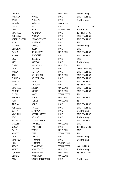| <b>DEBBIE</b>       | <b>OTTO</b>        | <b>UNCLEAR</b>   | 2nd training        |
|---------------------|--------------------|------------------|---------------------|
| PAMELA              | <b>PAYNE</b>       | <b>PAID</b>      | <b>2ND TRAINING</b> |
| <b>BARB</b>         | <b>PHILLIPS</b>    | <b>PAID</b>      | 2nd training        |
| shonda              | pichette           | volunteer        |                     |
| <b>LYNN</b>         | PILZ               | PAID             | \$<br>20.00         |
| <b>TERRI</b>        | Plautz             | <b>VOLUNTEER</b> | 1st training        |
| <b>MICHAEL</b>      | <b>PORADEK</b>     | <b>PAID</b>      | <b>1ST TRAINING</b> |
| REBECCA             | PRESNALL           | PAID             | <b>2ND TRAINING</b> |
| <b>KRISTY GREEN</b> | <b>PROKOPOVITZ</b> | PAID             | 2ND TRAINING        |
| <b>BOB</b>          | PUISSANT           | PAID             | 2ND                 |
| KIMBERLY            | <b>QUIROZ</b>      | PAID             | 2nd training        |
| <b>DEBORAH</b>      | <b>REED</b>        | PAID             | 2ND                 |
| <b>DAVID</b>        | <b>ROBISHAW</b>    | <b>UNCLEAR</b>   | <b>2ND TRAINING</b> |
| <b>ROBERT</b>       | <b>ROCQUE</b>      | PAID             | <b>2ND TRAINING</b> |
| <b>LISA</b>         | <b>ROSKOM</b>      | PAID             | 2ND                 |
| <b>KAY</b>          | SAMSON             | <b>PAID</b>      | 2nd training        |
| <b>CINDY</b>        | SAUBORIN           | <b>UNCLEAR</b>   | 2ND                 |
| <b>DAVID</b>        | <b>SAUVEY</b>      | PAID             | <b>2ND TRAINING</b> |
| KAREN               | <b>SCHLEY</b>      | <b>PAID</b>      | <b>2ND TRAINING</b> |
| <b>KARL</b>         | <b>SCHROEDER</b>   | <b>UNCLEAR</b>   | <b>2ND TRAINING</b> |
| <b>CLAUDIA</b>      | <b>SCHWIESOW</b>   | <b>PAID</b>      | <b>2ND TRAINING</b> |
| <b>ALISON</b>       | <b>SELK</b>        | PAID             | <b>2ND TRAINING</b> |
| <b>KURT</b>         | <b>SIEBOLD</b>     | <b>PAID</b>      | <b>1ST TRAINING</b> |
| <b>MICHAEL</b>      | <b>SKELLY</b>      | <b>UNCLEAR</b>   | <b>2ND TRAINING</b> |
| <b>BOBBIE</b>       | <b>SKELLY</b>      | <b>UNCLEAR</b>   | <b>2ND TRAINING</b> |
| <b>ELLEN</b>        | <b>SMITH</b>       | <b>VOLUNTEER</b> | 2 <sub>ND</sub>     |
| <b>MICHAEL</b>      | <b>SOCH</b>        | <b>UNCLEAR</b>   | <b>2ND TRAINING</b> |
| <b>KEN</b>          | <b>SOKOL</b>       | <b>UNCLEAR</b>   | 1ST                 |
| <b>ALICIA</b>       | <b>SOREL</b>       | PAID             | <b>2ND TRAINING</b> |
| <b>REBECCA</b>      | <b>SPILKER</b>     | PAID             | <b>2ND TRAINING</b> |
| <b>BETTY</b>        | <b>STAEVEN</b>     | PAID             | 2nd training        |
| <b>MICHELLE</b>     | STEELE/DAVIS?      | PAID             | <b>2ND TRAINING</b> |
| <b>BEV</b>          | <b>STURKE</b>      | PAID             | 2nd training        |
| <b>PATRICIA</b>     | STURZL-PRICE       | PAID             | 2ND TRAINING        |
| SHAUNA              | SWANSON            | UNCLEAR          | 2ND                 |
| SUSAN               | <b>TARLTON</b>     | PAID             | <b>1ST TRAINING</b> |
| <b>DALE</b>         | <b>TEASE</b>       | UNCLEAR          | 2ND                 |
| RANDY               | <b>TESS</b>        | <b>VOLUNTEER</b> | 2ND                 |
| sara                | <b>THEYS</b>       | PAID             | 2nd training        |
| MARY JO             | <b>THOMAS</b>      | <b>PAID</b>      | 2nd training        |
| <b>HEIDI</b>        | <b>THOMAS</b>      | <b>VOLUNTEER</b> |                     |
| STEVE               | <b>THOMPSON</b>    | <b>VOLUNTEER</b> | <b>VOLUNTEER</b>    |
| MARY                | VALIITCHKA         | UNCLEAR          | 2nd training        |
| <b>LUCIENNE</b>     | VAN DE PAS         | UNCLEAR          | <b>1ST TRAINING</b> |
| <b>DEBBIE</b>       | <b>VAN EREM</b>    | UNCLEAR          |                     |
| PAM                 | VANDERBLOEMEN      | PAID             | 2nd training        |